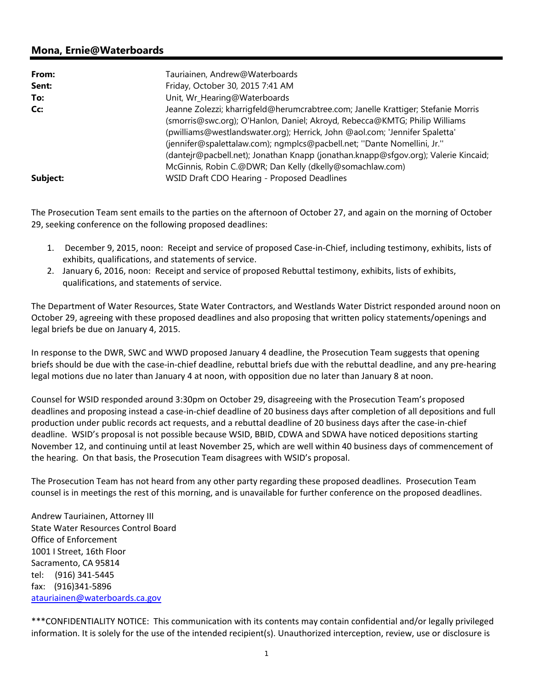## **Mona, Ernie@Waterboards**

| From:    | Tauriainen, Andrew@Waterboards                                                     |
|----------|------------------------------------------------------------------------------------|
| Sent:    | Friday, October 30, 2015 7:41 AM                                                   |
| To:      | Unit, Wr_Hearing@Waterboards                                                       |
| Cc:      | Jeanne Zolezzi; kharrigfeld@herumcrabtree.com; Janelle Krattiger; Stefanie Morris  |
|          | (smorris@swc.org); O'Hanlon, Daniel; Akroyd, Rebecca@KMTG; Philip Williams         |
|          | (pwilliams@westlandswater.org); Herrick, John @aol.com; 'Jennifer Spaletta'        |
|          | (jennifer@spalettalaw.com); ngmplcs@pacbell.net; "Dante Nomellini, Jr."            |
|          | (dantejr@pacbell.net); Jonathan Knapp (jonathan.knapp@sfgov.org); Valerie Kincaid; |
|          | McGinnis, Robin C.@DWR; Dan Kelly (dkelly@somachlaw.com)                           |
| Subject: | WSID Draft CDO Hearing - Proposed Deadlines                                        |

The Prosecution Team sent emails to the parties on the afternoon of October 27, and again on the morning of October 29, seeking conference on the following proposed deadlines:

- 1. December 9, 2015, noon: Receipt and service of proposed Case‐in‐Chief, including testimony, exhibits, lists of exhibits, qualifications, and statements of service.
- 2. January 6, 2016, noon: Receipt and service of proposed Rebuttal testimony, exhibits, lists of exhibits, qualifications, and statements of service.

The Department of Water Resources, State Water Contractors, and Westlands Water District responded around noon on October 29, agreeing with these proposed deadlines and also proposing that written policy statements/openings and legal briefs be due on January 4, 2015.

In response to the DWR, SWC and WWD proposed January 4 deadline, the Prosecution Team suggests that opening briefs should be due with the case‐in‐chief deadline, rebuttal briefs due with the rebuttal deadline, and any pre‐hearing legal motions due no later than January 4 at noon, with opposition due no later than January 8 at noon.

Counsel for WSID responded around 3:30pm on October 29, disagreeing with the Prosecution Team's proposed deadlines and proposing instead a case‐in‐chief deadline of 20 business days after completion of all depositions and full production under public records act requests, and a rebuttal deadline of 20 business days after the case-in-chief deadline. WSID's proposal is not possible because WSID, BBID, CDWA and SDWA have noticed depositions starting November 12, and continuing until at least November 25, which are well within 40 business days of commencement of the hearing. On that basis, the Prosecution Team disagrees with WSID's proposal.

The Prosecution Team has not heard from any other party regarding these proposed deadlines. Prosecution Team counsel is in meetings the rest of this morning, and is unavailable for further conference on the proposed deadlines.

Andrew Tauriainen, Attorney III State Water Resources Control Board Office of Enforcement 1001 I Street, 16th Floor Sacramento, CA 95814 tel: (916) 341‐5445 fax: (916)341‐5896 atauriainen@waterboards.ca.gov

\*\*\*CONFIDENTIALITY NOTICE: This communication with its contents may contain confidential and/or legally privileged information. It is solely for the use of the intended recipient(s). Unauthorized interception, review, use or disclosure is